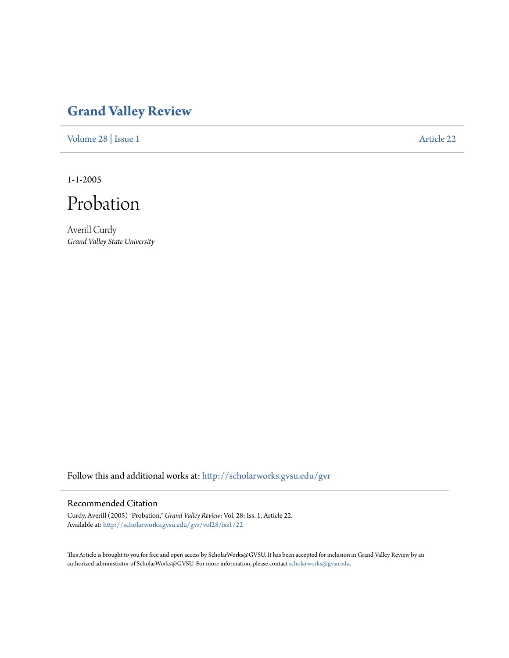## **[Grand Valley Review](http://scholarworks.gvsu.edu/gvr?utm_source=scholarworks.gvsu.edu%2Fgvr%2Fvol28%2Fiss1%2F22&utm_medium=PDF&utm_campaign=PDFCoverPages)**

[Volume 28](http://scholarworks.gvsu.edu/gvr/vol28?utm_source=scholarworks.gvsu.edu%2Fgvr%2Fvol28%2Fiss1%2F22&utm_medium=PDF&utm_campaign=PDFCoverPages) | [Issue 1](http://scholarworks.gvsu.edu/gvr/vol28/iss1?utm_source=scholarworks.gvsu.edu%2Fgvr%2Fvol28%2Fiss1%2F22&utm_medium=PDF&utm_campaign=PDFCoverPages) [Article 22](http://scholarworks.gvsu.edu/gvr/vol28/iss1/22?utm_source=scholarworks.gvsu.edu%2Fgvr%2Fvol28%2Fiss1%2F22&utm_medium=PDF&utm_campaign=PDFCoverPages)

1-1-2005



Averill Curdy *Grand Valley State University*

Follow this and additional works at: [http://scholarworks.gvsu.edu/gvr](http://scholarworks.gvsu.edu/gvr?utm_source=scholarworks.gvsu.edu%2Fgvr%2Fvol28%2Fiss1%2F22&utm_medium=PDF&utm_campaign=PDFCoverPages)

## Recommended Citation

Curdy, Averill (2005) "Probation," *Grand Valley Review*: Vol. 28: Iss. 1, Article 22. Available at: [http://scholarworks.gvsu.edu/gvr/vol28/iss1/22](http://scholarworks.gvsu.edu/gvr/vol28/iss1/22?utm_source=scholarworks.gvsu.edu%2Fgvr%2Fvol28%2Fiss1%2F22&utm_medium=PDF&utm_campaign=PDFCoverPages)

This Article is brought to you for free and open access by ScholarWorks@GVSU. It has been accepted for inclusion in Grand Valley Review by an authorized administrator of ScholarWorks@GVSU. For more information, please contact [scholarworks@gvsu.edu.](mailto:scholarworks@gvsu.edu)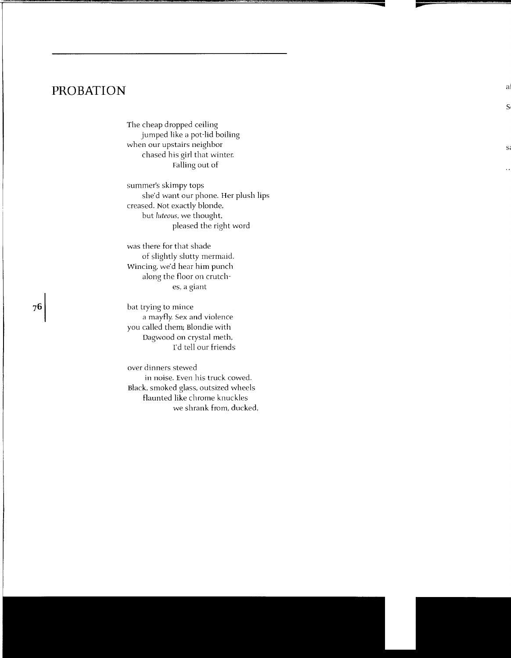## **PROBATION**

The cheap dropped ceiling jumped like a pot-lid boiling when our upstairs neighbor chased his girl that winter. Falling out of

summer's skimpy tops she'd want our phone. Her plush lips creased. Not exactly blonde, but *luteous,* we thought. pleased the right word

was there for that shade of slightly slutty mermaid. Wincing, we'd hear him punch along the floor on crutches, a giant

bat trying to mince a mayfly. Sex and violence you called them; Blondie with Dagwood on crystal meth, I'd tell our friends

over dinners stewed in noise. Even his truck cowed. Black. smoked glass, outsized wheels flaunted like chrome knuckles we shrank from, ducked,